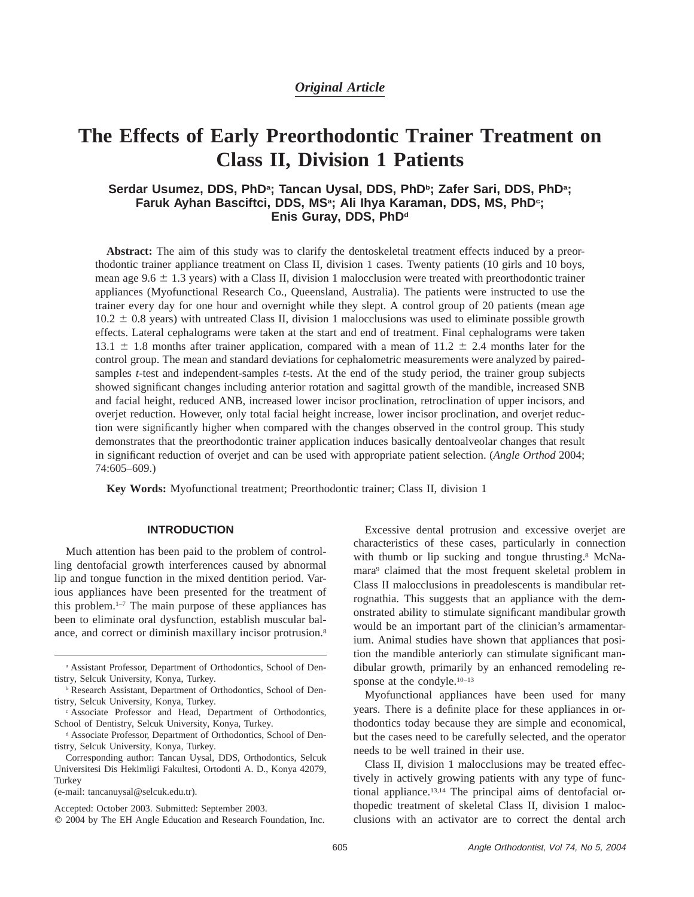## *Original Article*

# **The Effects of Early Preorthodontic Trainer Treatment on Class II, Division 1 Patients**

## Serdar Usumez, DDS, PhD<sup>a</sup>; Tancan Uysal, DDS, PhD<sup>b</sup>; Zafer Sari, DDS, PhD<sup>a</sup>; Faruk Ayhan Basciftci, DDS, MS<sup>a</sup>; Ali Ihya Karaman, DDS, MS, PhD<sup>c</sup>; Enis Guray, DDS, PhD<sup>d</sup>

**Abstract:** The aim of this study was to clarify the dentoskeletal treatment effects induced by a preorthodontic trainer appliance treatment on Class II, division 1 cases. Twenty patients (10 girls and 10 boys, mean age 9.6  $\pm$  1.3 years) with a Class II, division 1 malocclusion were treated with preorthodontic trainer appliances (Myofunctional Research Co., Queensland, Australia). The patients were instructed to use the trainer every day for one hour and overnight while they slept. A control group of 20 patients (mean age  $10.2 \pm 0.8$  years) with untreated Class II, division 1 malocclusions was used to eliminate possible growth effects. Lateral cephalograms were taken at the start and end of treatment. Final cephalograms were taken 13.1  $\pm$  1.8 months after trainer application, compared with a mean of 11.2  $\pm$  2.4 months later for the control group. The mean and standard deviations for cephalometric measurements were analyzed by pairedsamples *t*-test and independent-samples *t*-tests. At the end of the study period, the trainer group subjects showed significant changes including anterior rotation and sagittal growth of the mandible, increased SNB and facial height, reduced ANB, increased lower incisor proclination, retroclination of upper incisors, and overjet reduction. However, only total facial height increase, lower incisor proclination, and overjet reduction were significantly higher when compared with the changes observed in the control group. This study demonstrates that the preorthodontic trainer application induces basically dentoalveolar changes that result in significant reduction of overjet and can be used with appropriate patient selection. (*Angle Orthod* 2004; 74:605–609.)

**Key Words:** Myofunctional treatment; Preorthodontic trainer; Class II, division 1

### **INTRODUCTION**

Much attention has been paid to the problem of controlling dentofacial growth interferences caused by abnormal lip and tongue function in the mixed dentition period. Various appliances have been presented for the treatment of this problem. $1-7$  The main purpose of these appliances has been to eliminate oral dysfunction, establish muscular balance, and correct or diminish maxillary incisor protrusion.<sup>8</sup>

(e-mail: tancanuysal@selcuk.edu.tr).

Excessive dental protrusion and excessive overjet are characteristics of these cases, particularly in connection with thumb or lip sucking and tongue thrusting.<sup>8</sup> McNamara<sup>9</sup> claimed that the most frequent skeletal problem in Class II malocclusions in preadolescents is mandibular retrognathia. This suggests that an appliance with the demonstrated ability to stimulate significant mandibular growth would be an important part of the clinician's armamentarium. Animal studies have shown that appliances that position the mandible anteriorly can stimulate significant mandibular growth, primarily by an enhanced remodeling response at the condyle.<sup>10–13</sup>

Myofunctional appliances have been used for many years. There is a definite place for these appliances in orthodontics today because they are simple and economical, but the cases need to be carefully selected, and the operator needs to be well trained in their use.

Class II, division 1 malocclusions may be treated effectively in actively growing patients with any type of functional appliance.13,14 The principal aims of dentofacial orthopedic treatment of skeletal Class II, division 1 malocclusions with an activator are to correct the dental arch

<sup>a</sup> Assistant Professor, Department of Orthodontics, School of Dentistry, Selcuk University, Konya, Turkey.

<sup>b</sup> Research Assistant, Department of Orthodontics, School of Dentistry, Selcuk University, Konya, Turkey.

<sup>c</sup> Associate Professor and Head, Department of Orthodontics, School of Dentistry, Selcuk University, Konya, Turkey.

<sup>d</sup> Associate Professor, Department of Orthodontics, School of Dentistry, Selcuk University, Konya, Turkey.

Corresponding author: Tancan Uysal, DDS, Orthodontics, Selcuk Universitesi Dis Hekimligi Fakultesi, Ortodonti A. D., Konya 42079, Turkey

Accepted: October 2003. Submitted: September 2003.

 $Q$  2004 by The EH Angle Education and Research Foundation, Inc.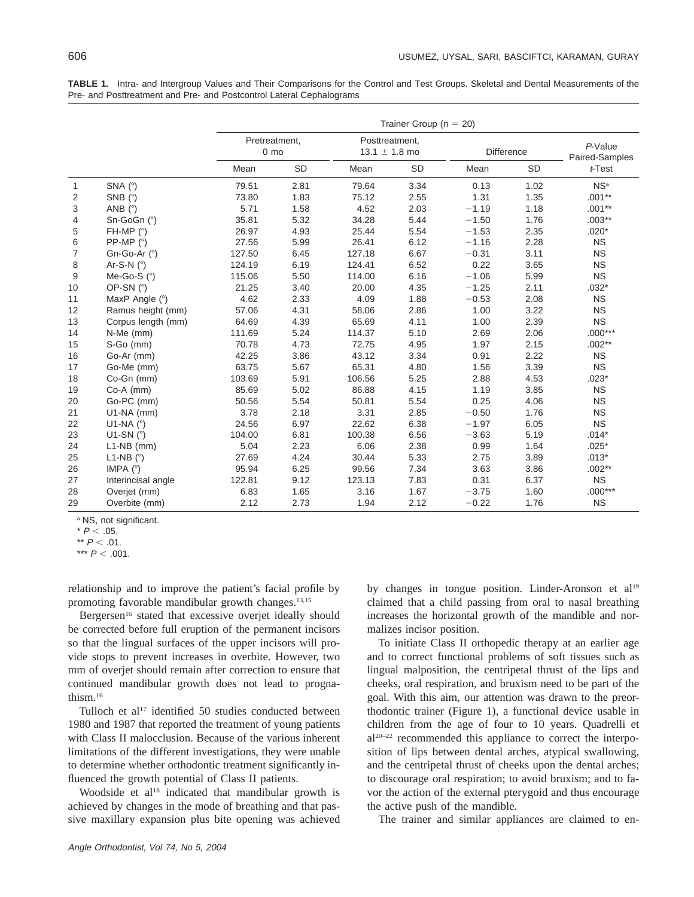|                |                                      | Trainer Group ( $n = 20$ )       |      |                                     |           |            |      |                           |  |  |  |  |
|----------------|--------------------------------------|----------------------------------|------|-------------------------------------|-----------|------------|------|---------------------------|--|--|--|--|
|                |                                      | Pretreatment,<br>0 <sub>mo</sub> |      | Posttreatment.<br>13.1 $\pm$ 1.8 mo |           | Difference |      | P-Value<br>Paired-Samples |  |  |  |  |
|                |                                      | Mean                             | SD   | Mean                                | <b>SD</b> | Mean       | SD   | t-Test                    |  |  |  |  |
| $\mathbf{1}$   | SNA $(^{\circ})$                     | 79.51                            | 2.81 | 79.64                               | 3.34      | 0.13       | 1.02 | NS <sup>a</sup>           |  |  |  |  |
| 2              | SNB (°)                              | 73.80                            | 1.83 | 75.12                               | 2.55      | 1.31       | 1.35 | $.001**$                  |  |  |  |  |
| 3              | ANB $(^{\circ})$                     | 5.71                             | 1.58 | 4.52                                | 2.03      | $-1.19$    | 1.18 | $.001**$                  |  |  |  |  |
| 4              | Sn-GoGn (°)                          | 35.81                            | 5.32 | 34.28                               | 5.44      | $-1.50$    | 1.76 | $.003**$                  |  |  |  |  |
| 5              | FH-MP $(°)$                          | 26.97                            | 4.93 | 25.44                               | 5.54      | $-1.53$    | 2.35 | $.020*$                   |  |  |  |  |
| 6              | PP-MP $(^{\circ})$                   | 27.56                            | 5.99 | 26.41                               | 6.12      | $-1.16$    | 2.28 | <b>NS</b>                 |  |  |  |  |
| $\overline{7}$ | Gn-Go-Ar $(°)$                       | 127.50                           | 6.45 | 127.18                              | 6.67      | $-0.31$    | 3.11 | <b>NS</b>                 |  |  |  |  |
| 8              | Ar-S-N $(°)$                         | 124.19                           | 6.19 | 124.41                              | 6.52      | 0.22       | 3.65 | <b>NS</b>                 |  |  |  |  |
| 9              | Me-Go-S $(°)$                        | 115.06                           | 5.50 | 114.00                              | 6.16      | $-1.06$    | 5.99 | <b>NS</b>                 |  |  |  |  |
| 10             | OP-SN $(°)$                          | 21.25                            | 3.40 | 20.00                               | 4.35      | $-1.25$    | 2.11 | $.032*$                   |  |  |  |  |
| 11             | MaxP Angle (°)                       | 4.62                             | 2.33 | 4.09                                | 1.88      | $-0.53$    | 2.08 | <b>NS</b>                 |  |  |  |  |
| 12             | Ramus height (mm)                    | 57.06                            | 4.31 | 58.06                               | 2.86      | 1.00       | 3.22 | <b>NS</b>                 |  |  |  |  |
| 13             | Corpus length (mm)                   | 64.69                            | 4.39 | 65.69                               | 4.11      | 1.00       | 2.39 | <b>NS</b>                 |  |  |  |  |
| 14             | N-Me (mm)                            | 111.69                           | 5.24 | 114.37                              | 5.10      | 2.69       | 2.06 | $.000***$                 |  |  |  |  |
| 15             | S-Go (mm)                            | 70.78                            | 4.73 | 72.75                               | 4.95      | 1.97       | 2.15 | $.002**$                  |  |  |  |  |
| 16             | Go-Ar (mm)                           | 42.25                            | 3.86 | 43.12                               | 3.34      | 0.91       | 2.22 | <b>NS</b>                 |  |  |  |  |
| 17             | Go-Me (mm)                           | 63.75                            | 5.67 | 65.31                               | 4.80      | 1.56       | 3.39 | <b>NS</b>                 |  |  |  |  |
| 18             | Co-Gn (mm)                           | 103.69                           | 5.91 | 106.56                              | 5.25      | 2.88       | 4.53 | $.023*$                   |  |  |  |  |
| 19             | Co-A (mm)                            | 85.69                            | 5.02 | 86.88                               | 4.15      | 1.19       | 3.85 | <b>NS</b>                 |  |  |  |  |
| 20             | Go-PC (mm)                           | 50.56                            | 5.54 | 50.81                               | 5.54      | 0.25       | 4.06 | <b>NS</b>                 |  |  |  |  |
| 21             | $U1-NA$ (mm)                         | 3.78                             | 2.18 | 3.31                                | 2.85      | $-0.50$    | 1.76 | <b>NS</b>                 |  |  |  |  |
| 22             | U1-NA $(^\circ)$                     | 24.56                            | 6.97 | 22.62                               | 6.38      | $-1.97$    | 6.05 | <b>NS</b>                 |  |  |  |  |
| 23             | U1-SN $(°)$                          | 104.00                           | 6.81 | 100.38                              | 6.56      | $-3.63$    | 5.19 | $.014*$                   |  |  |  |  |
| 24             | $L1-NB$ (mm)                         | 5.04                             | 2.23 | 6.06                                | 2.38      | 0.99       | 1.64 | $.025*$                   |  |  |  |  |
| 25             | L <sub>1</sub> -N <sub>B</sub> $(°)$ | 27.69                            | 4.24 | 30.44                               | 5.33      | 2.75       | 3.89 | $.013*$                   |  |  |  |  |
| 26             | IMPA $(°)$                           | 95.94                            | 6.25 | 99.56                               | 7.34      | 3.63       | 3.86 | $.002**$                  |  |  |  |  |
| 27             | Interincisal angle                   | 122.81                           | 9.12 | 123.13                              | 7.83      | 0.31       | 6.37 | <b>NS</b>                 |  |  |  |  |
| 28             | Overjet (mm)                         | 6.83                             | 1.65 | 3.16                                | 1.67      | $-3.75$    | 1.60 | $.000***$                 |  |  |  |  |
| 29             | Overbite (mm)                        | 2.12                             | 2.73 | 1.94                                | 2.12      | $-0.22$    | 1.76 | <b>NS</b>                 |  |  |  |  |

**TABLE 1.** Intra- and Intergroup Values and Their Comparisons for the Control and Test Groups. Skeletal and Dental Measurements of the Pre- and Posttreatment and Pre- and Postcontrol Lateral Cephalograms

<sup>a</sup> NS, not significant.

 $*$  P  $<$  .05.

\*\*  $P < .01$ .

\*\*\*  $P < .001$ .

relationship and to improve the patient's facial profile by promoting favorable mandibular growth changes.<sup>13,15</sup>

Bergersen<sup>16</sup> stated that excessive overjet ideally should be corrected before full eruption of the permanent incisors so that the lingual surfaces of the upper incisors will provide stops to prevent increases in overbite. However, two mm of overjet should remain after correction to ensure that continued mandibular growth does not lead to prognathism.16

Tulloch et al<sup>17</sup> identified 50 studies conducted between 1980 and 1987 that reported the treatment of young patients with Class II malocclusion. Because of the various inherent limitations of the different investigations, they were unable to determine whether orthodontic treatment significantly influenced the growth potential of Class II patients.

Woodside et al<sup>18</sup> indicated that mandibular growth is achieved by changes in the mode of breathing and that passive maxillary expansion plus bite opening was achieved by changes in tongue position. Linder-Aronson et al<sup>19</sup> claimed that a child passing from oral to nasal breathing increases the horizontal growth of the mandible and normalizes incisor position.

To initiate Class II orthopedic therapy at an earlier age and to correct functional problems of soft tissues such as lingual malposition, the centripetal thrust of the lips and cheeks, oral respiration, and bruxism need to be part of the goal. With this aim, our attention was drawn to the preorthodontic trainer (Figure 1), a functional device usable in children from the age of four to 10 years. Quadrelli et al20–22 recommended this appliance to correct the interposition of lips between dental arches, atypical swallowing, and the centripetal thrust of cheeks upon the dental arches; to discourage oral respiration; to avoid bruxism; and to favor the action of the external pterygoid and thus encourage the active push of the mandible.

The trainer and similar appliances are claimed to en-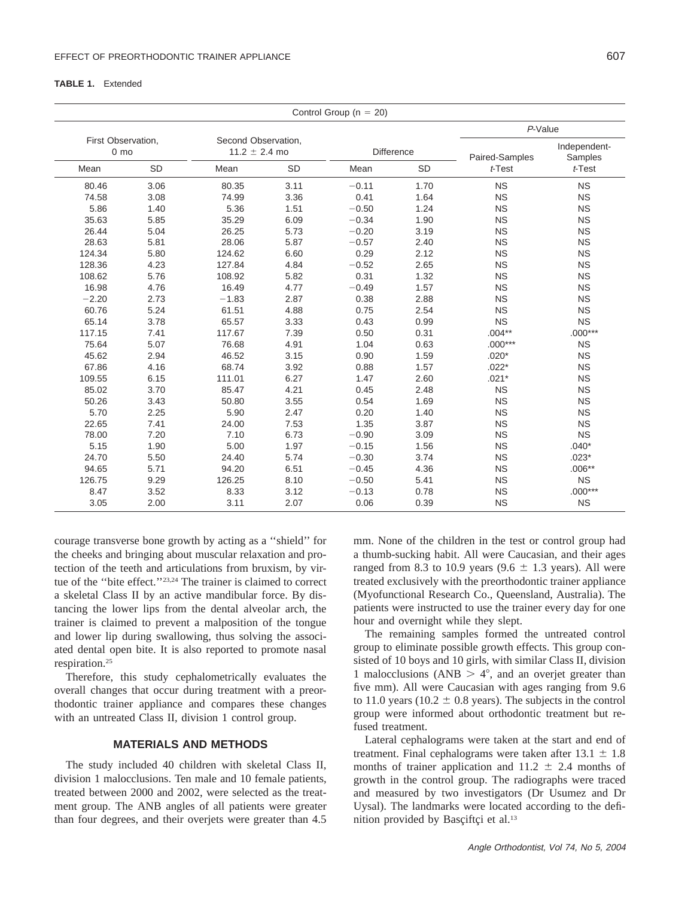#### **TABLE 1.** Extended

|                                      |           |                                          |           | Control Group ( $n = 20$ ) |           |                |                         |
|--------------------------------------|-----------|------------------------------------------|-----------|----------------------------|-----------|----------------|-------------------------|
|                                      |           |                                          | P-Value   |                            |           |                |                         |
| First Observation,<br>$0 \text{ mo}$ |           | Second Observation,<br>$11.2 \pm 2.4$ mo |           | <b>Difference</b>          |           | Paired-Samples | Independent-<br>Samples |
| Mean                                 | <b>SD</b> | Mean                                     | <b>SD</b> | Mean                       | <b>SD</b> | $t$ -Test      | t-Test                  |
| 80.46                                | 3.06      | 80.35                                    | 3.11      | $-0.11$                    | 1.70      | <b>NS</b>      | <b>NS</b>               |
| 74.58                                | 3.08      | 74.99                                    | 3.36      | 0.41                       | 1.64      | <b>NS</b>      | <b>NS</b>               |
| 5.86                                 | 1.40      | 5.36                                     | 1.51      | $-0.50$                    | 1.24      | <b>NS</b>      | <b>NS</b>               |
| 35.63                                | 5.85      | 35.29                                    | 6.09      | $-0.34$                    | 1.90      | <b>NS</b>      | <b>NS</b>               |
| 26.44                                | 5.04      | 26.25                                    | 5.73      | $-0.20$                    | 3.19      | <b>NS</b>      | <b>NS</b>               |
| 28.63                                | 5.81      | 28.06                                    | 5.87      | $-0.57$                    | 2.40      | <b>NS</b>      | <b>NS</b>               |
| 124.34                               | 5.80      | 124.62                                   | 6.60      | 0.29                       | 2.12      | <b>NS</b>      | <b>NS</b>               |
| 128.36                               | 4.23      | 127.84                                   | 4.84      | $-0.52$                    | 2.65      | <b>NS</b>      | <b>NS</b>               |
| 108.62                               | 5.76      | 108.92                                   | 5.82      | 0.31                       | 1.32      | <b>NS</b>      | <b>NS</b>               |
| 16.98                                | 4.76      | 16.49                                    | 4.77      | $-0.49$                    | 1.57      | <b>NS</b>      | <b>NS</b>               |
| $-2.20$                              | 2.73      | $-1.83$                                  | 2.87      | 0.38                       | 2.88      | <b>NS</b>      | <b>NS</b>               |
| 60.76                                | 5.24      | 61.51                                    | 4.88      | 0.75                       | 2.54      | <b>NS</b>      | <b>NS</b>               |
| 65.14                                | 3.78      | 65.57                                    | 3.33      | 0.43                       | 0.99      | <b>NS</b>      | <b>NS</b>               |
| 117.15                               | 7.41      | 117.67                                   | 7.39      | 0.50                       | 0.31      | $.004**$       | $.000***$               |
| 75.64                                | 5.07      | 76.68                                    | 4.91      | 1.04                       | 0.63      | $.000***$      | <b>NS</b>               |
| 45.62                                | 2.94      | 46.52                                    | 3.15      | 0.90                       | 1.59      | $.020*$        | <b>NS</b>               |
| 67.86                                | 4.16      | 68.74                                    | 3.92      | 0.88                       | 1.57      | $.022*$        | <b>NS</b>               |
| 109.55                               | 6.15      | 111.01                                   | 6.27      | 1.47                       | 2.60      | $.021*$        | <b>NS</b>               |
| 85.02                                | 3.70      | 85.47                                    | 4.21      | 0.45                       | 2.48      | <b>NS</b>      | <b>NS</b>               |
| 50.26                                | 3.43      | 50.80                                    | 3.55      | 0.54                       | 1.69      | <b>NS</b>      | <b>NS</b>               |
| 5.70                                 | 2.25      | 5.90                                     | 2.47      | 0.20                       | 1.40      | <b>NS</b>      | <b>NS</b>               |
| 22.65                                | 7.41      | 24.00                                    | 7.53      | 1.35                       | 3.87      | <b>NS</b>      | <b>NS</b>               |
| 78.00                                | 7.20      | 7.10                                     | 6.73      | $-0.90$                    | 3.09      | <b>NS</b>      | <b>NS</b>               |
| 5.15                                 | 1.90      | 5.00                                     | 1.97      | $-0.15$                    | 1.56      | <b>NS</b>      | $.040*$                 |
| 24.70                                | 5.50      | 24.40                                    | 5.74      | $-0.30$                    | 3.74      | <b>NS</b>      | $.023*$                 |
| 94.65                                | 5.71      | 94.20                                    | 6.51      | $-0.45$                    | 4.36      | <b>NS</b>      | $.006**$                |
| 126.75                               | 9.29      | 126.25                                   | 8.10      | $-0.50$                    | 5.41      | <b>NS</b>      | <b>NS</b>               |
| 8.47                                 | 3.52      | 8.33                                     | 3.12      | $-0.13$                    | 0.78      | <b>NS</b>      | $.000***$               |
| 3.05                                 | 2.00      | 3.11                                     | 2.07      | 0.06                       | 0.39      | <b>NS</b>      | <b>NS</b>               |

courage transverse bone growth by acting as a ''shield'' for the cheeks and bringing about muscular relaxation and protection of the teeth and articulations from bruxism, by virtue of the ''bite effect.''23,24 The trainer is claimed to correct a skeletal Class II by an active mandibular force. By distancing the lower lips from the dental alveolar arch, the trainer is claimed to prevent a malposition of the tongue and lower lip during swallowing, thus solving the associated dental open bite. It is also reported to promote nasal respiration.25

Therefore, this study cephalometrically evaluates the overall changes that occur during treatment with a preorthodontic trainer appliance and compares these changes with an untreated Class II, division 1 control group.

#### **MATERIALS AND METHODS**

The study included 40 children with skeletal Class II, division 1 malocclusions. Ten male and 10 female patients, treated between 2000 and 2002, were selected as the treatment group. The ANB angles of all patients were greater than four degrees, and their overjets were greater than 4.5

mm. None of the children in the test or control group had a thumb-sucking habit. All were Caucasian, and their ages ranged from 8.3 to 10.9 years (9.6  $\pm$  1.3 years). All were treated exclusively with the preorthodontic trainer appliance (Myofunctional Research Co., Queensland, Australia). The patients were instructed to use the trainer every day for one hour and overnight while they slept.

The remaining samples formed the untreated control group to eliminate possible growth effects. This group consisted of 10 boys and 10 girls, with similar Class II, division 1 malocclusions (ANB  $> 4^{\circ}$ , and an overjet greater than five mm). All were Caucasian with ages ranging from 9.6 to 11.0 years (10.2  $\pm$  0.8 years). The subjects in the control group were informed about orthodontic treatment but refused treatment.

Lateral cephalograms were taken at the start and end of treatment. Final cephalograms were taken after  $13.1 \pm 1.8$ months of trainer application and  $11.2 \pm 2.4$  months of growth in the control group. The radiographs were traced and measured by two investigators (Dr Usumez and Dr Uysal). The landmarks were located according to the definition provided by Basciftci et al.<sup>13</sup>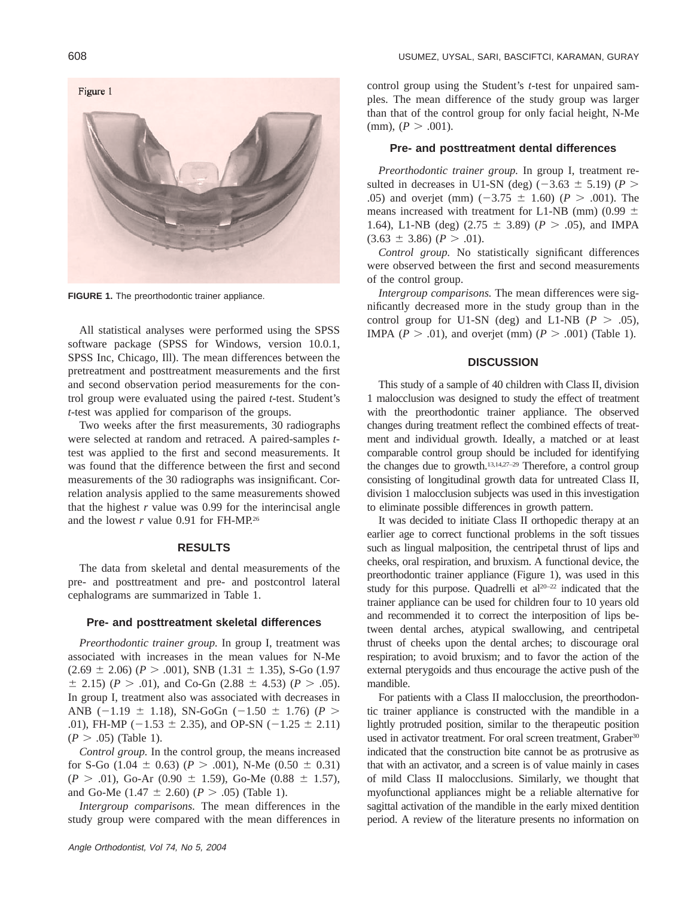

**FIGURE 1.** The preorthodontic trainer appliance.

All statistical analyses were performed using the SPSS software package (SPSS for Windows, version 10.0.1, SPSS Inc, Chicago, Ill). The mean differences between the pretreatment and posttreatment measurements and the first and second observation period measurements for the control group were evaluated using the paired *t*-test. Student's *t*-test was applied for comparison of the groups.

Two weeks after the first measurements, 30 radiographs were selected at random and retraced. A paired-samples *t*test was applied to the first and second measurements. It was found that the difference between the first and second measurements of the 30 radiographs was insignificant. Correlation analysis applied to the same measurements showed that the highest  $r$  value was 0.99 for the interincisal angle and the lowest  $r$  value 0.91 for FH-MP.<sup>26</sup>

#### **RESULTS**

The data from skeletal and dental measurements of the pre- and posttreatment and pre- and postcontrol lateral cephalograms are summarized in Table 1.

#### **Pre- and posttreatment skeletal differences**

*Preorthodontic trainer group.* In group I, treatment was associated with increases in the mean values for N-Me  $(2.69 \pm 2.06)$  ( $P > .001$ ), SNB (1.31  $\pm$  1.35), S-Go (1.97  $\pm$  2.15) (*P* > .01), and Co-Gn (2.88  $\pm$  4.53) (*P* > .05). In group I, treatment also was associated with decreases in ANB (-1.19  $\pm$  1.18), SN-GoGn (-1.50  $\pm$  1.76) (*P* > .01), FH-MP ( $-1.53 \pm 2.35$ ), and OP-SN ( $-1.25 \pm 2.11$ )  $(P > .05)$  (Table 1).

*Control group.* In the control group, the means increased for S-Go (1.04  $\pm$  0.63) (*P* > .001), N-Me (0.50  $\pm$  0.31)  $(P > .01)$ , Go-Ar (0.90  $\pm$  1.59), Go-Me (0.88  $\pm$  1.57), and Go-Me  $(1.47 \pm 2.60)$   $(P > .05)$  (Table 1).

*Intergroup comparisons.* The mean differences in the study group were compared with the mean differences in control group using the Student's *t*-test for unpaired samples. The mean difference of the study group was larger than that of the control group for only facial height, N-Me  $(r = .001)$ .

#### **Pre- and posttreatment dental differences**

*Preorthodontic trainer group.* In group I, treatment resulted in decreases in U1-SN (deg) ( $-3.63 \pm 5.19$ ) ( $P >$ .05) and overjet (mm)  $(-3.75 \pm 1.60)$  ( $P > .001$ ). The means increased with treatment for L1-NB (mm) (0.99  $\pm$ 1.64), L1-NB (deg) (2.75  $\pm$  3.89) ( $P > .05$ ), and IMPA  $(3.63 \pm 3.86)$  ( $P > .01$ ).

*Control group.* No statistically significant differences were observed between the first and second measurements of the control group.

*Intergroup comparisons.* The mean differences were significantly decreased more in the study group than in the control group for U1-SN (deg) and L1-NB  $(P > .05)$ , IMPA ( $P > .01$ ), and overjet (mm) ( $P > .001$ ) (Table 1).

#### **DISCUSSION**

This study of a sample of 40 children with Class II, division 1 malocclusion was designed to study the effect of treatment with the preorthodontic trainer appliance. The observed changes during treatment reflect the combined effects of treatment and individual growth. Ideally, a matched or at least comparable control group should be included for identifying the changes due to growth.13,14,27–29 Therefore, a control group consisting of longitudinal growth data for untreated Class II, division 1 malocclusion subjects was used in this investigation to eliminate possible differences in growth pattern.

It was decided to initiate Class II orthopedic therapy at an earlier age to correct functional problems in the soft tissues such as lingual malposition, the centripetal thrust of lips and cheeks, oral respiration, and bruxism. A functional device, the preorthodontic trainer appliance (Figure 1), was used in this study for this purpose. Quadrelli et  $al<sup>20-22</sup>$  indicated that the trainer appliance can be used for children four to 10 years old and recommended it to correct the interposition of lips between dental arches, atypical swallowing, and centripetal thrust of cheeks upon the dental arches; to discourage oral respiration; to avoid bruxism; and to favor the action of the external pterygoids and thus encourage the active push of the mandible.

For patients with a Class II malocclusion, the preorthodontic trainer appliance is constructed with the mandible in a lightly protruded position, similar to the therapeutic position used in activator treatment. For oral screen treatment, Graber<sup>30</sup> indicated that the construction bite cannot be as protrusive as that with an activator, and a screen is of value mainly in cases of mild Class II malocclusions. Similarly, we thought that myofunctional appliances might be a reliable alternative for sagittal activation of the mandible in the early mixed dentition period. A review of the literature presents no information on